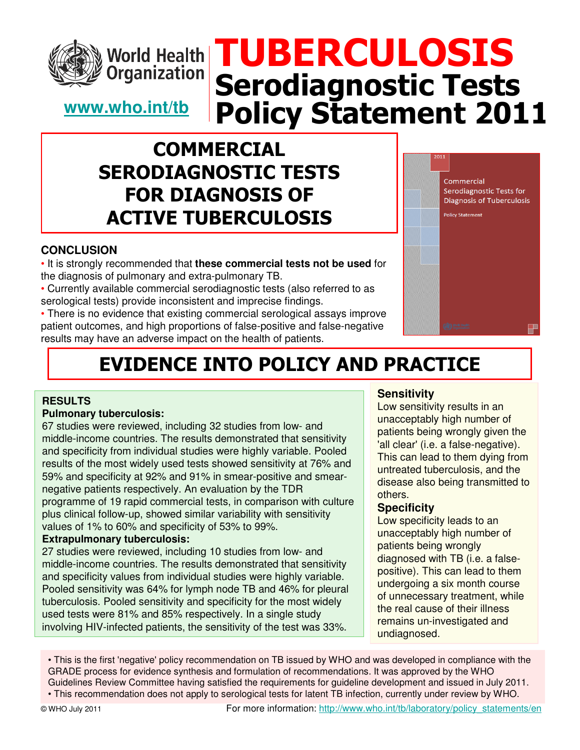

# TUBERCULOSIS **World Health** Serodiagnostic Tests Policy Statement 2011

### **www.who.int/tb**

**Organization** 

### **COMMERCIAL** SERODIAGNOSTIC TESTS FOR DIAGNOSIS OF ACTIVE TUBERCULOSIS

#### **CONCLUSION**

• It is strongly recommended that **these commercial tests not be used** for the diagnosis of pulmonary and extra-pulmonary TB.

• Currently available commercial serodiagnostic tests (also referred to as serological tests) provide inconsistent and imprecise findings.

• There is no evidence that existing commercial serological assays improve patient outcomes, and high proportions of false-positive and false-negative results may have an adverse impact on the health of patients.



# EVIDENCE INTO POLICY AND PRACTICE

#### **RESULTS**

#### **Pulmonary tuberculosis:**

67 studies were reviewed, including 32 studies from low- and middle-income countries. The results demonstrated that sensitivity and specificity from individual studies were highly variable. Pooled results of the most widely used tests showed sensitivity at 76% and 59% and specificity at 92% and 91% in smear-positive and smearnegative patients respectively. An evaluation by the TDR programme of 19 rapid commercial tests, in comparison with culture plus clinical follow-up, showed similar variability with sensitivity values of 1% to 60% and specificity of 53% to 99%.

#### **Extrapulmonary tuberculosis:**

27 studies were reviewed, including 10 studies from low- and middle-income countries. The results demonstrated that sensitivity and specificity values from individual studies were highly variable. Pooled sensitivity was 64% for lymph node TB and 46% for pleural tuberculosis. Pooled sensitivity and specificity for the most widely used tests were 81% and 85% respectively. In a single study involving HIV-infected patients, the sensitivity of the test was 33%.

#### **Sensitivity**

Low sensitivity results in an unacceptably high number of patients being wrongly given the 'all clear' (i.e. a false-negative). This can lead to them dying from untreated tuberculosis, and the disease also being transmitted to others.

#### **Specificity**

Low specificity leads to an unacceptably high number of patients being wrongly diagnosed with TB (i.e. a falsepositive). This can lead to them undergoing a six month course of unnecessary treatment, while the real cause of their illness remains un-investigated and undiagnosed.

• This is the first 'negative' policy recommendation on TB issued by WHO and was developed in compliance with the GRADE process for evidence synthesis and formulation of recommendations. It was approved by the WHO Guidelines Review Committee having satisfied the requirements for guideline development and issued in July 2011. • This recommendation does not apply to serological tests for latent TB infection, currently under review by WHO.